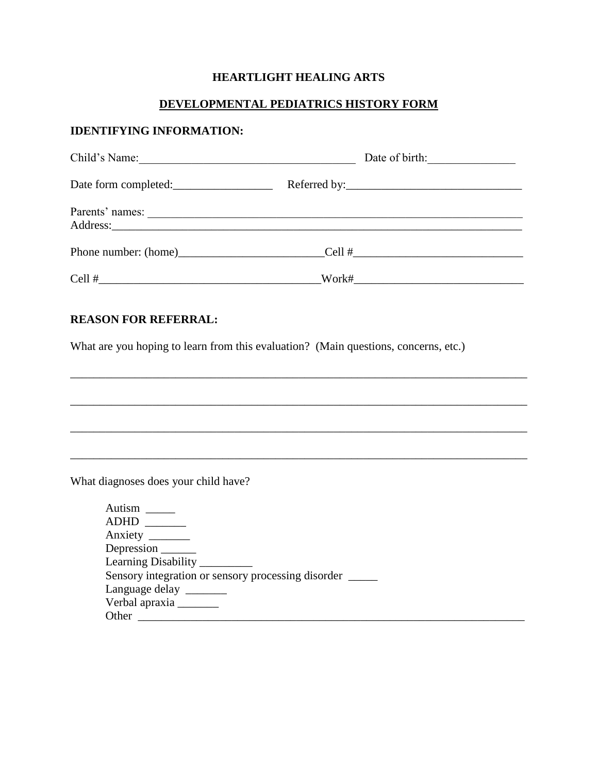## **HEARTLIGHT HEALING ARTS**

## **DEVELOPMENTAL PEDIATRICS HISTORY FORM**

### **IDENTIFYING INFORMATION:**

| Child's Name:        |       |  |
|----------------------|-------|--|
| Date form completed: |       |  |
| Parents' names:      |       |  |
|                      |       |  |
|                      | Work# |  |

\_\_\_\_\_\_\_\_\_\_\_\_\_\_\_\_\_\_\_\_\_\_\_\_\_\_\_\_\_\_\_\_\_\_\_\_\_\_\_\_\_\_\_\_\_\_\_\_\_\_\_\_\_\_\_\_\_\_\_\_\_\_\_\_\_\_\_\_\_\_\_\_\_\_\_\_\_\_

\_\_\_\_\_\_\_\_\_\_\_\_\_\_\_\_\_\_\_\_\_\_\_\_\_\_\_\_\_\_\_\_\_\_\_\_\_\_\_\_\_\_\_\_\_\_\_\_\_\_\_\_\_\_\_\_\_\_\_\_\_\_\_\_\_\_\_\_\_\_\_\_\_\_\_\_\_\_

\_\_\_\_\_\_\_\_\_\_\_\_\_\_\_\_\_\_\_\_\_\_\_\_\_\_\_\_\_\_\_\_\_\_\_\_\_\_\_\_\_\_\_\_\_\_\_\_\_\_\_\_\_\_\_\_\_\_\_\_\_\_\_\_\_\_\_\_\_\_\_\_\_\_\_\_\_\_

### **REASON FOR REFERRAL:**

What are you hoping to learn from this evaluation? (Main questions, concerns, etc.)

What diagnoses does your child have?

| ADHD                                               |  |
|----------------------------------------------------|--|
| Anxiety ________                                   |  |
|                                                    |  |
| Learning Disability _________                      |  |
| Sensory integration or sensory processing disorder |  |
| Language delay ________                            |  |
| Verbal apraxia _______                             |  |
| Other                                              |  |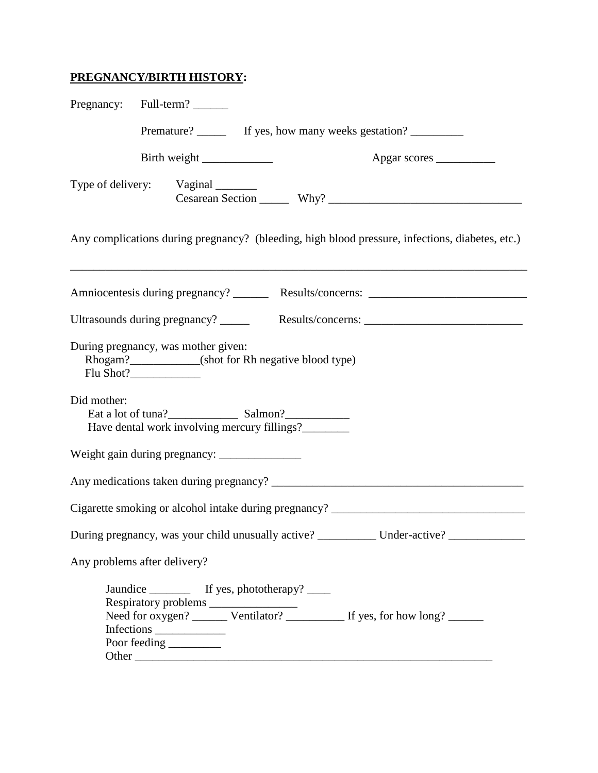## **PREGNANCY/BIRTH HISTORY:**

|             | Pregnancy: Full-term?                                                                       |                                                                                                 |
|-------------|---------------------------------------------------------------------------------------------|-------------------------------------------------------------------------------------------------|
|             |                                                                                             | Premature? ________ If yes, how many weeks gestation? ____________                              |
|             | Birth weight                                                                                | Apgar scores                                                                                    |
|             | Type of delivery: Vaginal _______                                                           |                                                                                                 |
|             |                                                                                             | Any complications during pregnancy? (bleeding, high blood pressure, infections, diabetes, etc.) |
|             |                                                                                             |                                                                                                 |
|             | Ultrasounds during pregnancy? ______                                                        |                                                                                                 |
|             | During pregnancy, was mother given:<br>Rhogam?____________(shot for Rh negative blood type) |                                                                                                 |
| Did mother: | Eat a lot of tuna?<br>Salmon?<br>Salmon?<br>Have dental work involving mercury fillings?    |                                                                                                 |
|             | Weight gain during pregnancy: _______________                                               |                                                                                                 |
|             |                                                                                             |                                                                                                 |
|             |                                                                                             | Cigarette smoking or alcohol intake during pregnancy? ___________________________               |
|             |                                                                                             | During pregnancy, was your child unusually active? ___________ Under-active? __________         |
|             | Any problems after delivery?                                                                |                                                                                                 |
|             | Jaundice ___________ If yes, phototherapy? _____<br>Infections                              | Need for oxygen? ________ Ventilator? _____________ If yes, for how long? _______               |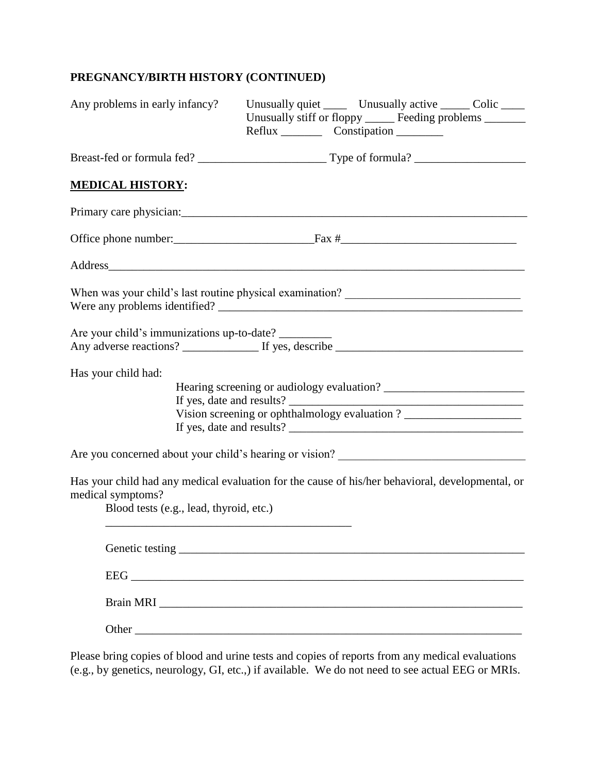# **PREGNANCY/BIRTH HISTORY (CONTINUED)**

| Any problems in early infancy?                                                                                                                                   | Unusually quiet _______ Unusually active _______ Colic _____<br>Unusually stiff or floppy ______ Feeding problems ______ |  |
|------------------------------------------------------------------------------------------------------------------------------------------------------------------|--------------------------------------------------------------------------------------------------------------------------|--|
|                                                                                                                                                                  |                                                                                                                          |  |
| <b>MEDICAL HISTORY:</b>                                                                                                                                          |                                                                                                                          |  |
|                                                                                                                                                                  |                                                                                                                          |  |
|                                                                                                                                                                  |                                                                                                                          |  |
| Address                                                                                                                                                          |                                                                                                                          |  |
| When was your child's last routine physical examination? ________________________                                                                                |                                                                                                                          |  |
| Are your child's immunizations up-to-date?                                                                                                                       |                                                                                                                          |  |
| Has your child had:                                                                                                                                              | Vision screening or ophthalmology evaluation ? _________________________________                                         |  |
| Are you concerned about your child's hearing or vision?                                                                                                          |                                                                                                                          |  |
| Has your child had any medical evaluation for the cause of his/her behavioral, developmental, or<br>medical symptoms?<br>Blood tests (e.g., lead, thyroid, etc.) |                                                                                                                          |  |
|                                                                                                                                                                  |                                                                                                                          |  |
|                                                                                                                                                                  |                                                                                                                          |  |
|                                                                                                                                                                  |                                                                                                                          |  |
|                                                                                                                                                                  |                                                                                                                          |  |

Please bring copies of blood and urine tests and copies of reports from any medical evaluations (e.g., by genetics, neurology, GI, etc.,) if available. We do not need to see actual EEG or MRIs.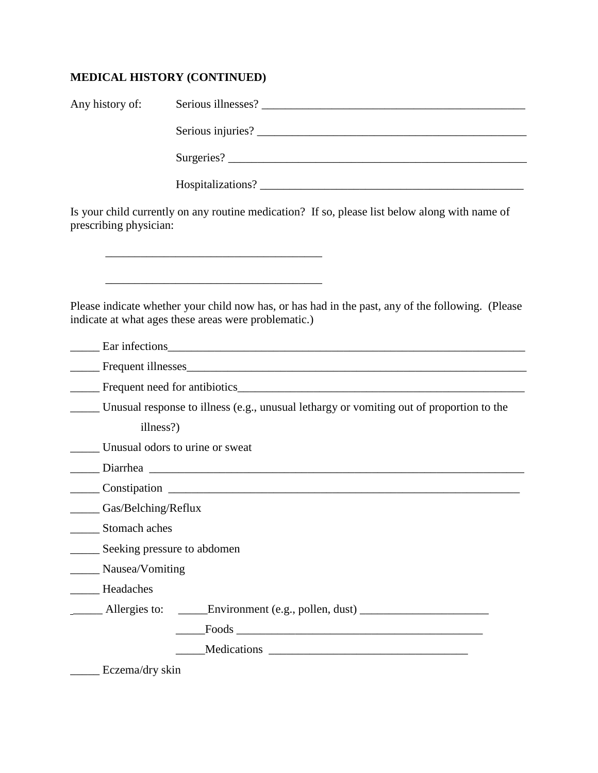# **MEDICAL HISTORY (CONTINUED)**

| Any history of:             |                                                                                                                                                                                                                               |
|-----------------------------|-------------------------------------------------------------------------------------------------------------------------------------------------------------------------------------------------------------------------------|
|                             |                                                                                                                                                                                                                               |
|                             |                                                                                                                                                                                                                               |
|                             |                                                                                                                                                                                                                               |
| prescribing physician:      | Is your child currently on any routine medication? If so, please list below along with name of                                                                                                                                |
|                             |                                                                                                                                                                                                                               |
|                             |                                                                                                                                                                                                                               |
|                             | Please indicate whether your child now has, or has had in the past, any of the following. (Please<br>indicate at what ages these areas were problematic.)                                                                     |
|                             | Ear infections experience and the contract of the contract of the contract of the contract of the contract of the contract of the contract of the contract of the contract of the contract of the contract of the contract of |
|                             | Frequent illnesses                                                                                                                                                                                                            |
|                             |                                                                                                                                                                                                                               |
|                             | Unusual response to illness (e.g., unusual lethargy or vomiting out of proportion to the                                                                                                                                      |
| illness?)                   |                                                                                                                                                                                                                               |
|                             | Unusual odors to urine or sweat                                                                                                                                                                                               |
|                             |                                                                                                                                                                                                                               |
|                             |                                                                                                                                                                                                                               |
| Gas/Belching/Reflux         |                                                                                                                                                                                                                               |
| Stomach aches               |                                                                                                                                                                                                                               |
| Seeking pressure to abdomen |                                                                                                                                                                                                                               |
| Nausea/Vomiting             |                                                                                                                                                                                                                               |
| Headaches                   |                                                                                                                                                                                                                               |
|                             | Allergies to: ______Environment (e.g., pollen, dust) ___________________________                                                                                                                                              |
|                             |                                                                                                                                                                                                                               |
|                             |                                                                                                                                                                                                                               |
| Eczema/dry skin             |                                                                                                                                                                                                                               |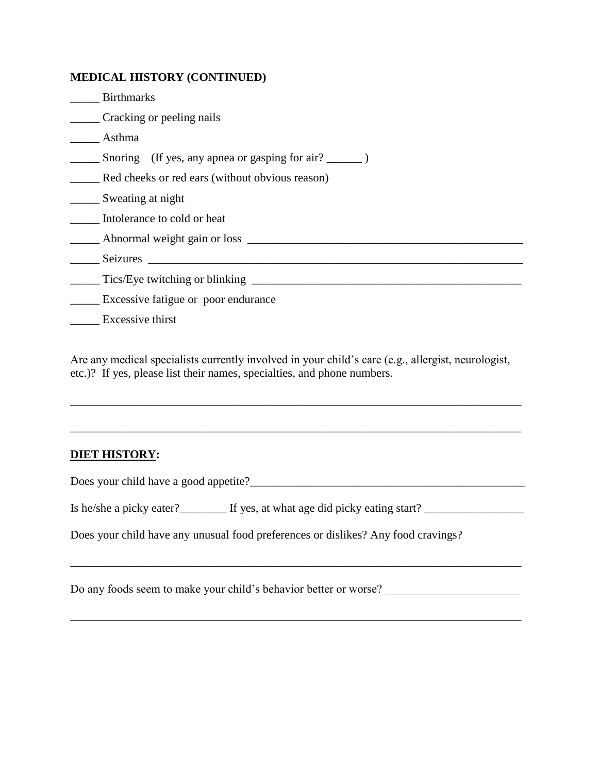## **MEDICAL HISTORY (CONTINUED)**

| <b>Birthmarks</b>                               |
|-------------------------------------------------|
| Cracking or peeling nails                       |
| Asthma                                          |
|                                                 |
| Red cheeks or red ears (without obvious reason) |
| Sweating at night                               |
| Intolerance to cold or heat                     |
| Abnormal weight gain or loss                    |
| Seizures                                        |
| Tics/Eye twitching or blinking _______          |
| Excessive fatigue or poor endurance             |
| Excessive thirst                                |

Are any medical specialists currently involved in your child's care (e.g., allergist, neurologist, etc.)? If yes, please list their names, specialties, and phone numbers.

\_\_\_\_\_\_\_\_\_\_\_\_\_\_\_\_\_\_\_\_\_\_\_\_\_\_\_\_\_\_\_\_\_\_\_\_\_\_\_\_\_\_\_\_\_\_\_\_\_\_\_\_\_\_\_\_\_\_\_\_\_\_\_\_\_\_\_\_\_\_\_\_\_\_\_\_\_

\_\_\_\_\_\_\_\_\_\_\_\_\_\_\_\_\_\_\_\_\_\_\_\_\_\_\_\_\_\_\_\_\_\_\_\_\_\_\_\_\_\_\_\_\_\_\_\_\_\_\_\_\_\_\_\_\_\_\_\_\_\_\_\_\_\_\_\_\_\_\_\_\_\_\_\_\_

\_\_\_\_\_\_\_\_\_\_\_\_\_\_\_\_\_\_\_\_\_\_\_\_\_\_\_\_\_\_\_\_\_\_\_\_\_\_\_\_\_\_\_\_\_\_\_\_\_\_\_\_\_\_\_\_\_\_\_\_\_\_\_\_\_\_\_\_\_\_\_\_\_\_\_\_\_

## **DIET HISTORY:**

Does your child have a good appetite?

Is he/she a picky eater?\_\_\_\_\_\_\_\_ If yes, at what age did picky eating start? \_\_\_\_\_\_\_\_\_\_\_\_\_\_\_\_\_\_\_\_\_\_\_\_\_\_\_\_\_\_\_\_\_

Does your child have any unusual food preferences or dislikes? Any food cravings?

Do any foods seem to make your child's behavior better or worse? \_\_\_\_\_\_\_\_\_\_\_\_\_\_\_\_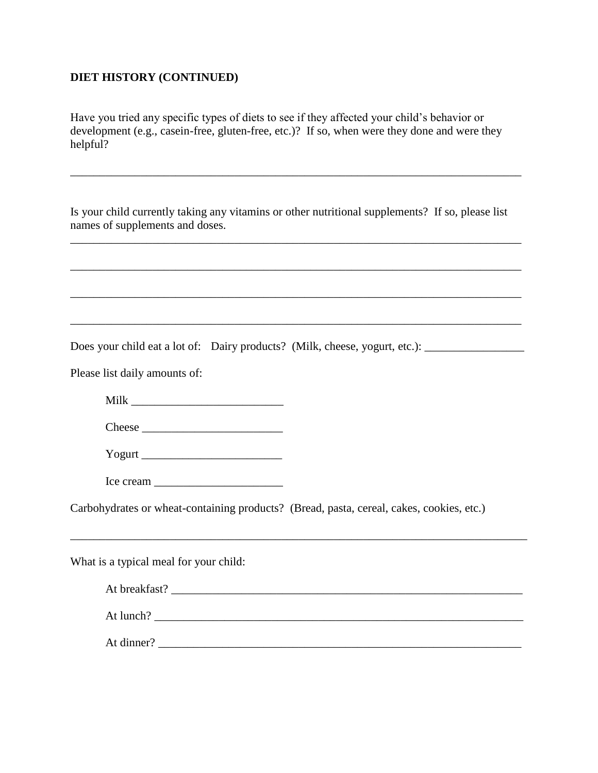### **DIET HISTORY (CONTINUED)**

Have you tried any specific types of diets to see if they affected your child's behavior or development (e.g., casein-free, gluten-free, etc.)? If so, when were they done and were they helpful?

Is your child currently taking any vitamins or other nutritional supplements? If so, please list names of supplements and doses.

\_\_\_\_\_\_\_\_\_\_\_\_\_\_\_\_\_\_\_\_\_\_\_\_\_\_\_\_\_\_\_\_\_\_\_\_\_\_\_\_\_\_\_\_\_\_\_\_\_\_\_\_\_\_\_\_\_\_\_\_\_\_\_\_\_\_\_\_\_\_\_\_\_\_\_\_\_

\_\_\_\_\_\_\_\_\_\_\_\_\_\_\_\_\_\_\_\_\_\_\_\_\_\_\_\_\_\_\_\_\_\_\_\_\_\_\_\_\_\_\_\_\_\_\_\_\_\_\_\_\_\_\_\_\_\_\_\_\_\_\_\_\_\_\_\_\_\_\_\_\_\_\_\_\_

\_\_\_\_\_\_\_\_\_\_\_\_\_\_\_\_\_\_\_\_\_\_\_\_\_\_\_\_\_\_\_\_\_\_\_\_\_\_\_\_\_\_\_\_\_\_\_\_\_\_\_\_\_\_\_\_\_\_\_\_\_\_\_\_\_\_\_\_\_\_\_\_\_\_\_\_\_

\_\_\_\_\_\_\_\_\_\_\_\_\_\_\_\_\_\_\_\_\_\_\_\_\_\_\_\_\_\_\_\_\_\_\_\_\_\_\_\_\_\_\_\_\_\_\_\_\_\_\_\_\_\_\_\_\_\_\_\_\_\_\_\_\_\_\_\_\_\_\_\_\_\_\_\_\_

\_\_\_\_\_\_\_\_\_\_\_\_\_\_\_\_\_\_\_\_\_\_\_\_\_\_\_\_\_\_\_\_\_\_\_\_\_\_\_\_\_\_\_\_\_\_\_\_\_\_\_\_\_\_\_\_\_\_\_\_\_\_\_\_\_\_\_\_\_\_\_\_\_\_\_\_\_

Does your child eat a lot of: Dairy products? (Milk, cheese, yogurt, etc.):

Please list daily amounts of:

Milk \_\_\_\_\_\_\_\_\_\_\_\_\_\_\_\_\_\_\_\_\_\_\_\_\_\_

Cheese \_\_\_\_\_\_\_\_\_\_\_\_\_\_\_\_\_\_\_\_\_\_\_\_

Yogurt \_\_\_\_\_\_\_\_\_\_\_\_\_\_\_\_\_\_\_\_\_\_\_\_

Ice cream

Carbohydrates or wheat-containing products? (Bread, pasta, cereal, cakes, cookies, etc.)

\_\_\_\_\_\_\_\_\_\_\_\_\_\_\_\_\_\_\_\_\_\_\_\_\_\_\_\_\_\_\_\_\_\_\_\_\_\_\_\_\_\_\_\_\_\_\_\_\_\_\_\_\_\_\_\_\_\_\_\_\_\_\_\_\_\_\_\_\_\_\_\_\_\_\_\_\_\_

What is a typical meal for your child:

| At breakfast? |  |  |  |
|---------------|--|--|--|
| At lunch?     |  |  |  |
| At dinner?    |  |  |  |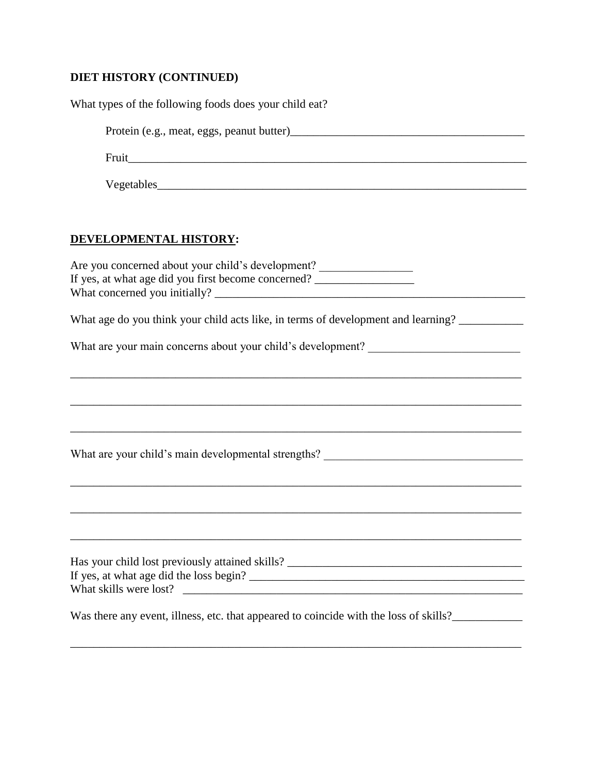# **DIET HISTORY (CONTINUED)**

| What types of the following foods does your child eat?                                                                                 |
|----------------------------------------------------------------------------------------------------------------------------------------|
|                                                                                                                                        |
|                                                                                                                                        |
|                                                                                                                                        |
| DEVELOPMENTAL HISTORY:                                                                                                                 |
| Are you concerned about your child's development?<br>If yes, at what age did you first become concerned? _____________________________ |
| What age do you think your child acts like, in terms of development and learning?                                                      |
| What are your main concerns about your child's development? _____________________                                                      |
|                                                                                                                                        |
| What are your child's main developmental strengths? _____________________________                                                      |
|                                                                                                                                        |
| Has your child lost previously attained skills? _________________________________                                                      |
| Was there any event, illness, etc. that appeared to coincide with the loss of skills?______________                                    |

\_\_\_\_\_\_\_\_\_\_\_\_\_\_\_\_\_\_\_\_\_\_\_\_\_\_\_\_\_\_\_\_\_\_\_\_\_\_\_\_\_\_\_\_\_\_\_\_\_\_\_\_\_\_\_\_\_\_\_\_\_\_\_\_\_\_\_\_\_\_\_\_\_\_\_\_\_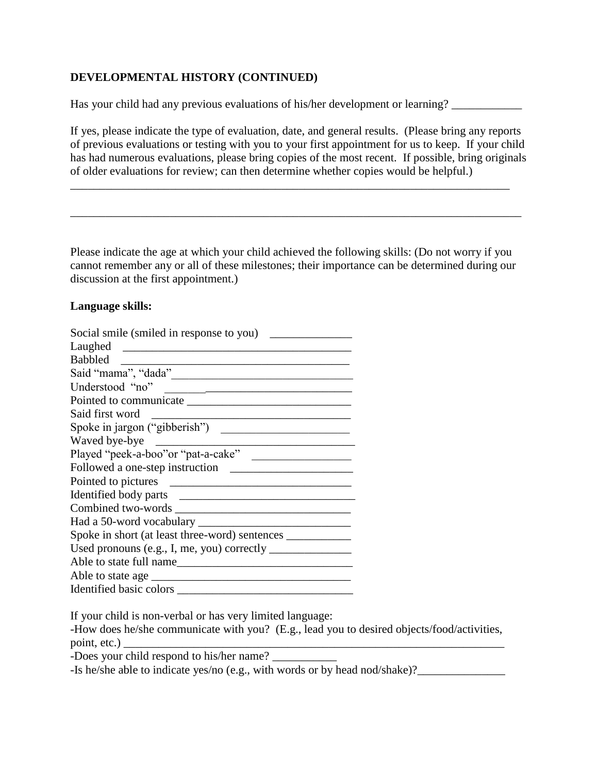## **DEVELOPMENTAL HISTORY (CONTINUED)**

Has your child had any previous evaluations of his/her development or learning? \_\_\_\_\_\_\_\_\_\_\_\_\_\_\_\_\_\_\_\_

If yes, please indicate the type of evaluation, date, and general results. (Please bring any reports of previous evaluations or testing with you to your first appointment for us to keep. If your child has had numerous evaluations, please bring copies of the most recent. If possible, bring originals of older evaluations for review; can then determine whether copies would be helpful.)

\_\_\_\_\_\_\_\_\_\_\_\_\_\_\_\_\_\_\_\_\_\_\_\_\_\_\_\_\_\_\_\_\_\_\_\_\_\_\_\_\_\_\_\_\_\_\_\_\_\_\_\_\_\_\_\_\_\_\_\_\_\_\_\_\_\_\_\_\_\_\_\_\_\_\_

\_\_\_\_\_\_\_\_\_\_\_\_\_\_\_\_\_\_\_\_\_\_\_\_\_\_\_\_\_\_\_\_\_\_\_\_\_\_\_\_\_\_\_\_\_\_\_\_\_\_\_\_\_\_\_\_\_\_\_\_\_\_\_\_\_\_\_\_\_\_\_\_\_\_\_\_\_

Please indicate the age at which your child achieved the following skills: (Do not worry if you cannot remember any or all of these milestones; their importance can be determined during our discussion at the first appointment.)

### **Language skills:**

| Social smile (smiled in response to you)                                                                                                                                                                                                              |
|-------------------------------------------------------------------------------------------------------------------------------------------------------------------------------------------------------------------------------------------------------|
| Laughed                                                                                                                                                                                                                                               |
| <b>Babbled</b>                                                                                                                                                                                                                                        |
|                                                                                                                                                                                                                                                       |
| Understood "no"                                                                                                                                                                                                                                       |
|                                                                                                                                                                                                                                                       |
| Said first word                                                                                                                                                                                                                                       |
| Spoke in jargon ("gibberish")<br><u> 1989 - Johann Barbara, martxa alemaniar a</u>                                                                                                                                                                    |
| Waved bye-bye<br><u> 1989 - Johann Stoff, deutscher Stoffen und der Stoffen und der Stoffen und der Stoffen und der Stoffen und der Stoffen und der Stoffen und der Stoffen und der Stoffen und der Stoffen und der Stoffen und der Stoffen und d</u> |
| Played "peek-a-boo" or "pat-a-cake"                                                                                                                                                                                                                   |
|                                                                                                                                                                                                                                                       |
|                                                                                                                                                                                                                                                       |
|                                                                                                                                                                                                                                                       |
|                                                                                                                                                                                                                                                       |
|                                                                                                                                                                                                                                                       |
| Spoke in short (at least three-word) sentences __________________________________                                                                                                                                                                     |
|                                                                                                                                                                                                                                                       |
| Able to state full name                                                                                                                                                                                                                               |
|                                                                                                                                                                                                                                                       |
| Identified basic colors                                                                                                                                                                                                                               |

If your child is non-verbal or has very limited language:

-How does he/she communicate with you? (E.g., lead you to desired objects/food/activities, point, etc.)

-Does your child respond to his/her name?

-Is he/she able to indicate yes/no (e.g., with words or by head nod/shake)?\_\_\_\_\_\_\_\_\_\_\_\_\_\_\_\_\_\_\_\_\_\_\_\_\_\_\_\_\_\_\_\_\_\_\_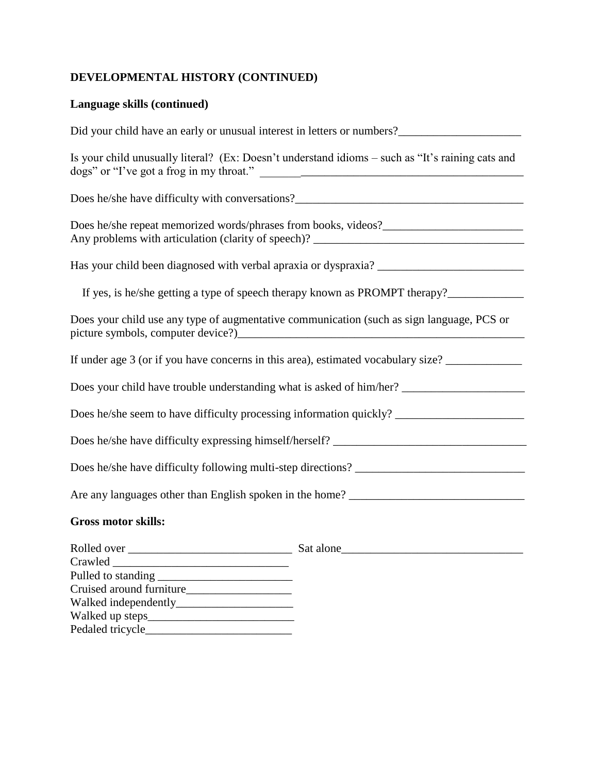# **DEVELOPMENTAL HISTORY (CONTINUED)**

# **Language skills (continued)**

| Did your child have an early or unusual interest in letters or numbers?                                        |
|----------------------------------------------------------------------------------------------------------------|
| Is your child unusually literal? (Ex: Doesn't understand idioms – such as "It's raining cats and               |
|                                                                                                                |
|                                                                                                                |
|                                                                                                                |
| If yes, is he/she getting a type of speech therapy known as PROMPT therapy?___________________________________ |
| Does your child use any type of augmentative communication (such as sign language, PCS or                      |
| If under age 3 (or if you have concerns in this area), estimated vocabulary size? _________________            |
|                                                                                                                |
| Does he/she seem to have difficulty processing information quickly? ________________________________           |
|                                                                                                                |
|                                                                                                                |
|                                                                                                                |
| <b>Gross motor skills:</b>                                                                                     |
|                                                                                                                |
|                                                                                                                |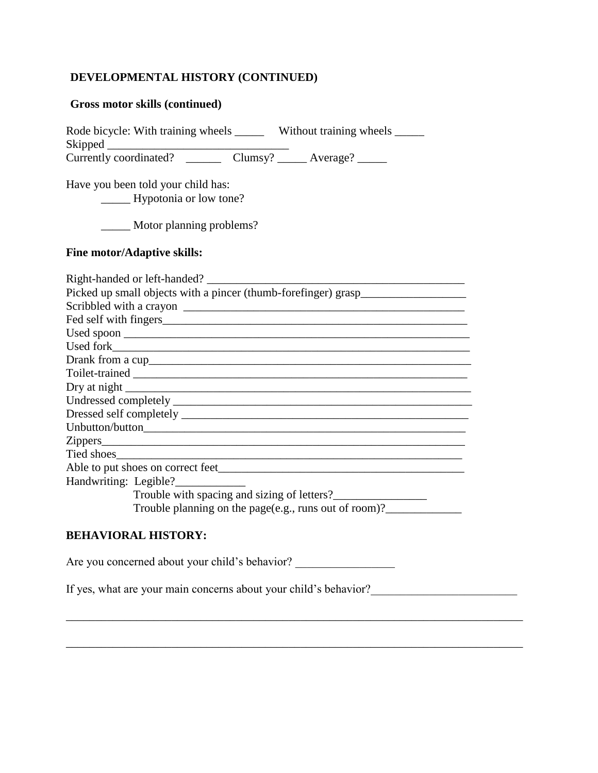## **DEVELOPMENTAL HISTORY (CONTINUED)**

#### **Gross motor skills (continued)**

Rode bicycle: With training wheels \_\_\_\_\_\_ Without training wheels \_\_\_\_\_ Skipped \_\_\_\_\_\_\_\_\_\_\_\_\_\_\_\_\_\_\_\_\_\_\_\_\_\_\_\_\_\_\_

Currently coordinated? Clumsy? \_\_\_\_\_\_ Average? \_\_\_\_\_\_

Have you been told your child has: \_\_\_\_\_ Hypotonia or low tone?

\_\_\_\_\_ Motor planning problems?

#### **Fine motor/Adaptive skills:**

| Picked up small objects with a pincer (thumb-forefinger) grasp__________________ |
|----------------------------------------------------------------------------------|
| Scribbled with a crayon                                                          |
|                                                                                  |
|                                                                                  |
|                                                                                  |
|                                                                                  |
|                                                                                  |
|                                                                                  |
|                                                                                  |
|                                                                                  |
|                                                                                  |
|                                                                                  |
|                                                                                  |
| Able to put shoes on correct feet                                                |
| Handwriting: Legible?                                                            |
| Trouble with spacing and sizing of letters?                                      |
| Trouble planning on the page(e.g., runs out of room)?                            |

### **BEHAVIORAL HISTORY:**

Are you concerned about your child's behavior?

If yes, what are your main concerns about your child's behavior?\_\_\_\_\_\_\_\_\_\_\_\_\_\_\_\_\_\_\_\_\_\_\_\_\_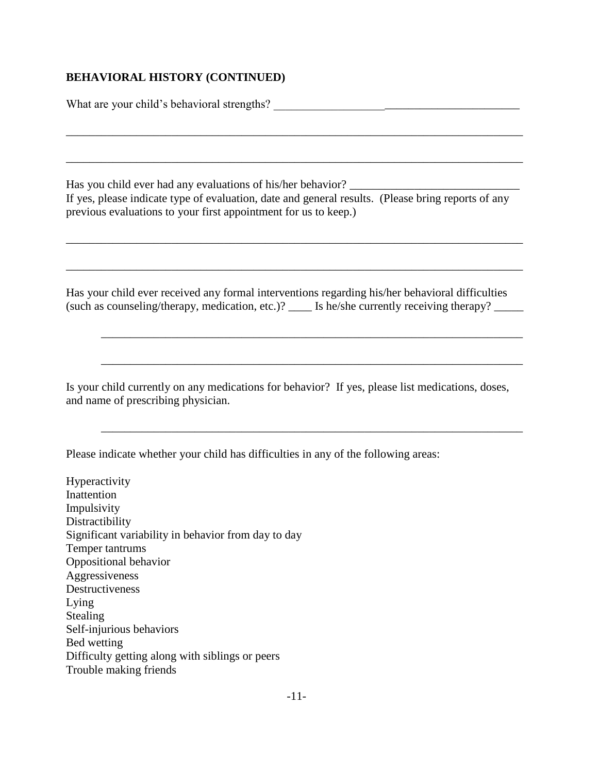### **BEHAVIORAL HISTORY (CONTINUED)**

What are your child's behavioral strengths? \_\_\_\_\_\_\_\_\_\_\_\_\_\_\_\_\_\_\_\_\_\_\_\_\_\_\_\_\_\_\_\_\_\_\_\_\_\_\_\_\_\_

Has you child ever had any evaluations of his/her behavior? If yes, please indicate type of evaluation, date and general results. (Please bring reports of any previous evaluations to your first appointment for us to keep.)

\_\_\_\_\_\_\_\_\_\_\_\_\_\_\_\_\_\_\_\_\_\_\_\_\_\_\_\_\_\_\_\_\_\_\_\_\_\_\_\_\_\_\_\_\_\_\_\_\_\_\_\_\_\_\_\_\_\_\_\_\_\_\_\_\_\_\_\_\_\_\_\_\_\_\_\_\_\_

\_\_\_\_\_\_\_\_\_\_\_\_\_\_\_\_\_\_\_\_\_\_\_\_\_\_\_\_\_\_\_\_\_\_\_\_\_\_\_\_\_\_\_\_\_\_\_\_\_\_\_\_\_\_\_\_\_\_\_\_\_\_\_\_\_\_\_\_\_\_\_\_\_\_\_\_\_\_

\_\_\_\_\_\_\_\_\_\_\_\_\_\_\_\_\_\_\_\_\_\_\_\_\_\_\_\_\_\_\_\_\_\_\_\_\_\_\_\_\_\_\_\_\_\_\_\_\_\_\_\_\_\_\_\_\_\_\_\_\_\_\_\_\_\_\_\_\_\_\_\_\_\_\_\_\_\_

\_\_\_\_\_\_\_\_\_\_\_\_\_\_\_\_\_\_\_\_\_\_\_\_\_\_\_\_\_\_\_\_\_\_\_\_\_\_\_\_\_\_\_\_\_\_\_\_\_\_\_\_\_\_\_\_\_\_\_\_\_\_\_\_\_\_\_\_\_\_\_\_\_\_\_\_\_\_

Has your child ever received any formal interventions regarding his/her behavioral difficulties (such as counseling/therapy, medication, etc.)?  $\qquad \qquad$  Is he/she currently receiving therapy?

\_\_\_\_\_\_\_\_\_\_\_\_\_\_\_\_\_\_\_\_\_\_\_\_\_\_\_\_\_\_\_\_\_\_\_\_\_\_\_\_\_\_\_\_\_\_\_\_\_\_\_\_\_\_\_\_\_\_\_\_\_\_\_\_\_\_\_\_\_\_\_\_

\_\_\_\_\_\_\_\_\_\_\_\_\_\_\_\_\_\_\_\_\_\_\_\_\_\_\_\_\_\_\_\_\_\_\_\_\_\_\_\_\_\_\_\_\_\_\_\_\_\_\_\_\_\_\_\_\_\_\_\_\_\_\_\_\_\_\_\_\_\_\_\_

\_\_\_\_\_\_\_\_\_\_\_\_\_\_\_\_\_\_\_\_\_\_\_\_\_\_\_\_\_\_\_\_\_\_\_\_\_\_\_\_\_\_\_\_\_\_\_\_\_\_\_\_\_\_\_\_\_\_\_\_\_\_\_\_\_\_\_\_\_\_\_\_

Is your child currently on any medications for behavior? If yes, please list medications, doses, and name of prescribing physician.

Please indicate whether your child has difficulties in any of the following areas:

Hyperactivity Inattention Impulsivity Distractibility Significant variability in behavior from day to day Temper tantrums Oppositional behavior Aggressiveness Destructiveness Lying Stealing Self-injurious behaviors Bed wetting Difficulty getting along with siblings or peers Trouble making friends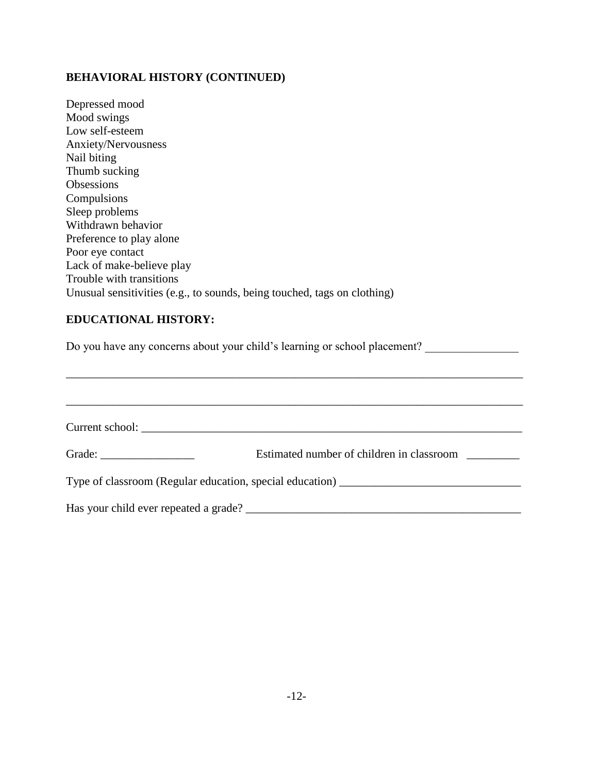# **BEHAVIORAL HISTORY (CONTINUED)**

| Depressed mood                                                                                           |
|----------------------------------------------------------------------------------------------------------|
| Mood swings                                                                                              |
| Low self-esteem                                                                                          |
| Anxiety/Nervousness                                                                                      |
| Nail biting                                                                                              |
| Thumb sucking                                                                                            |
| Obsessions                                                                                               |
| Compulsions                                                                                              |
| Sleep problems                                                                                           |
| Withdrawn behavior                                                                                       |
| Preference to play alone                                                                                 |
| Poor eye contact                                                                                         |
| Lack of make-believe play                                                                                |
| Trouble with transitions                                                                                 |
| Unusual sensitivities (e.g., to sounds, being touched, tags on clothing)                                 |
| <b>EDUCATIONAL HISTORY:</b><br>Do you have any concerns about your child's learning or school placement? |
|                                                                                                          |
| Estimated number of children in classroom<br>Grade: $\frac{1}{\sqrt{1-\frac{1}{2}}\cdot\frac{1}{2}}$     |
|                                                                                                          |
|                                                                                                          |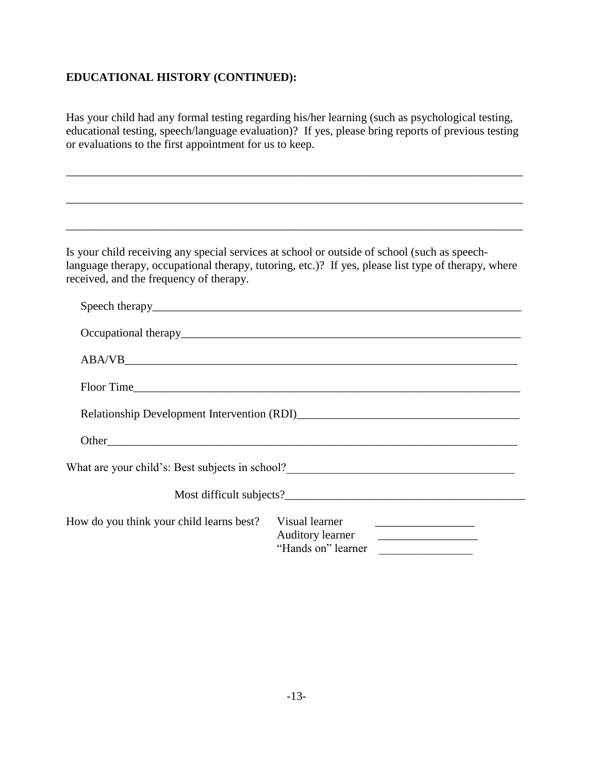## **EDUCATIONAL HISTORY (CONTINUED):**

Has your child had any formal testing regarding his/her learning (such as psychological testing, educational testing, speech/language evaluation)? If yes, please bring reports of previous testing or evaluations to the first appointment for us to keep.

\_\_\_\_\_\_\_\_\_\_\_\_\_\_\_\_\_\_\_\_\_\_\_\_\_\_\_\_\_\_\_\_\_\_\_\_\_\_\_\_\_\_\_\_\_\_\_\_\_\_\_\_\_\_\_\_\_\_\_\_\_\_\_\_\_\_\_\_\_\_\_\_\_\_\_\_\_\_

\_\_\_\_\_\_\_\_\_\_\_\_\_\_\_\_\_\_\_\_\_\_\_\_\_\_\_\_\_\_\_\_\_\_\_\_\_\_\_\_\_\_\_\_\_\_\_\_\_\_\_\_\_\_\_\_\_\_\_\_\_\_\_\_\_\_\_\_\_\_\_\_\_\_\_\_\_\_

\_\_\_\_\_\_\_\_\_\_\_\_\_\_\_\_\_\_\_\_\_\_\_\_\_\_\_\_\_\_\_\_\_\_\_\_\_\_\_\_\_\_\_\_\_\_\_\_\_\_\_\_\_\_\_\_\_\_\_\_\_\_\_\_\_\_\_\_\_\_\_\_\_\_\_\_\_\_

Is your child receiving any special services at school or outside of school (such as speechlanguage therapy, occupational therapy, tutoring, etc.)? If yes, please list type of therapy, where received, and the frequency of therapy.

| What are your child's: Best subjects in school?__________________________________ |                                    |                    |  |  |  |
|-----------------------------------------------------------------------------------|------------------------------------|--------------------|--|--|--|
|                                                                                   |                                    |                    |  |  |  |
| How do you think your child learns best?                                          | Visual learner<br>Auditory learner | "Hands on" learner |  |  |  |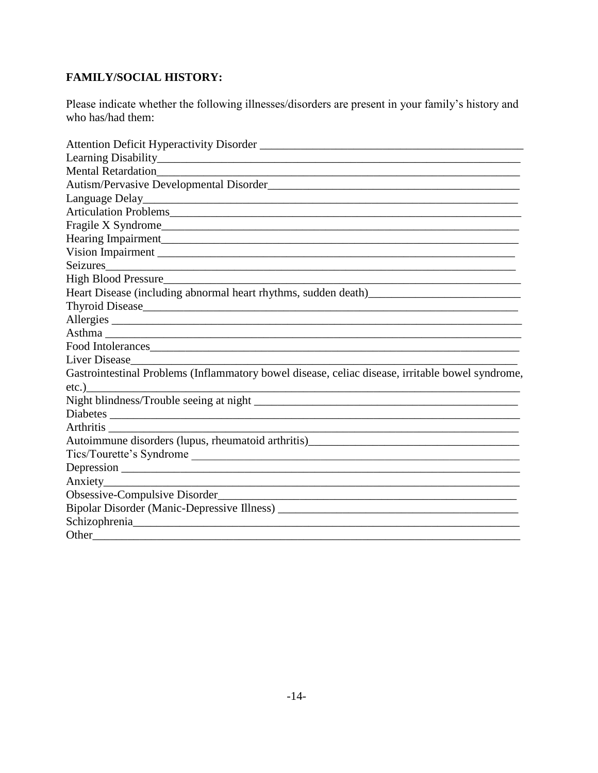# **FAMILY/SOCIAL HISTORY:**

Please indicate whether the following illnesses/disorders are present in your family's history and who has/had them:

| Mental Retardation<br><u>Land Communication</u>                                                                                                                                                                               |
|-------------------------------------------------------------------------------------------------------------------------------------------------------------------------------------------------------------------------------|
|                                                                                                                                                                                                                               |
|                                                                                                                                                                                                                               |
|                                                                                                                                                                                                                               |
|                                                                                                                                                                                                                               |
|                                                                                                                                                                                                                               |
|                                                                                                                                                                                                                               |
| Seizures                                                                                                                                                                                                                      |
|                                                                                                                                                                                                                               |
| Heart Disease (including abnormal heart rhythms, sudden death)<br><u>Leart Disease (including abnormal heart rhythms</u> , sudden death)                                                                                      |
|                                                                                                                                                                                                                               |
| Allergies                                                                                                                                                                                                                     |
|                                                                                                                                                                                                                               |
| Food Intolerances                                                                                                                                                                                                             |
|                                                                                                                                                                                                                               |
| Gastrointestinal Problems (Inflammatory bowel disease, celiac disease, irritable bowel syndrome,                                                                                                                              |
| etc.)                                                                                                                                                                                                                         |
|                                                                                                                                                                                                                               |
|                                                                                                                                                                                                                               |
|                                                                                                                                                                                                                               |
| Tics/Tourette's Syndrome                                                                                                                                                                                                      |
|                                                                                                                                                                                                                               |
|                                                                                                                                                                                                                               |
|                                                                                                                                                                                                                               |
|                                                                                                                                                                                                                               |
|                                                                                                                                                                                                                               |
| Other and the contract of the contract of the contract of the contract of the contract of the contract of the contract of the contract of the contract of the contract of the contract of the contract of the contract of the |